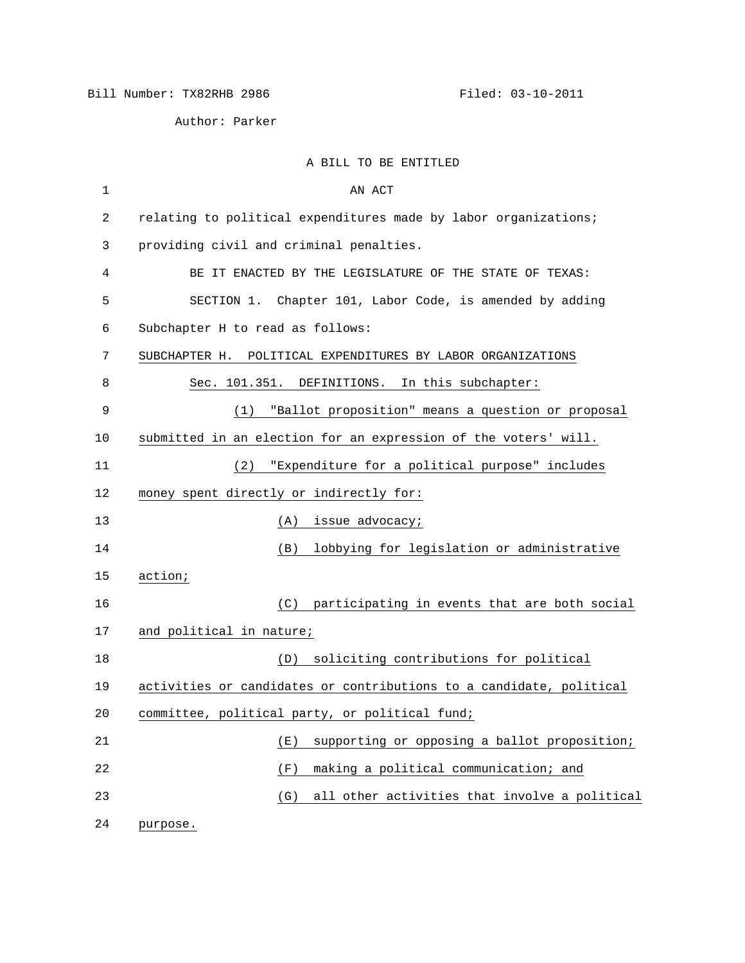Author: Parker

A BILL TO BE ENTITLED

| $\mathbf 1$ | AN ACT                                                              |
|-------------|---------------------------------------------------------------------|
| 2           | relating to political expenditures made by labor organizations;     |
| 3           | providing civil and criminal penalties.                             |
| 4           | BE IT ENACTED BY THE LEGISLATURE OF THE STATE OF TEXAS:             |
| 5           | SECTION 1. Chapter 101, Labor Code, is amended by adding            |
| 6           | Subchapter H to read as follows:                                    |
| 7           | SUBCHAPTER H. POLITICAL EXPENDITURES BY LABOR ORGANIZATIONS         |
| 8           | In this subchapter:<br>Sec. 101.351. DEFINITIONS.                   |
| 9           | "Ballot proposition" means a question or proposal<br>(1)            |
| 10          | submitted in an election for an expression of the voters' will.     |
| 11          | "Expenditure for a political purpose" includes<br>(2)               |
| 12          | money spent directly or indirectly for:                             |
| 13          | issue advocacy;<br>(A)                                              |
| 14          | lobbying for legislation or administrative<br>(B)                   |
| 15          | action;                                                             |
| 16          | (C) participating in events that are both social                    |
| 17          | and political in nature;                                            |
| 18          | soliciting contributions for political<br>(D)                       |
| 19          | activities or candidates or contributions to a candidate, political |
| 20          | committee, political party, or political fund;                      |
| 21          | supporting or opposing a ballot proposition;<br>(E)                 |
| 22          | making a political communication; and<br>(F)                        |
| 23          | all other activities that involve a political<br>(G)                |
| 24          | purpose.                                                            |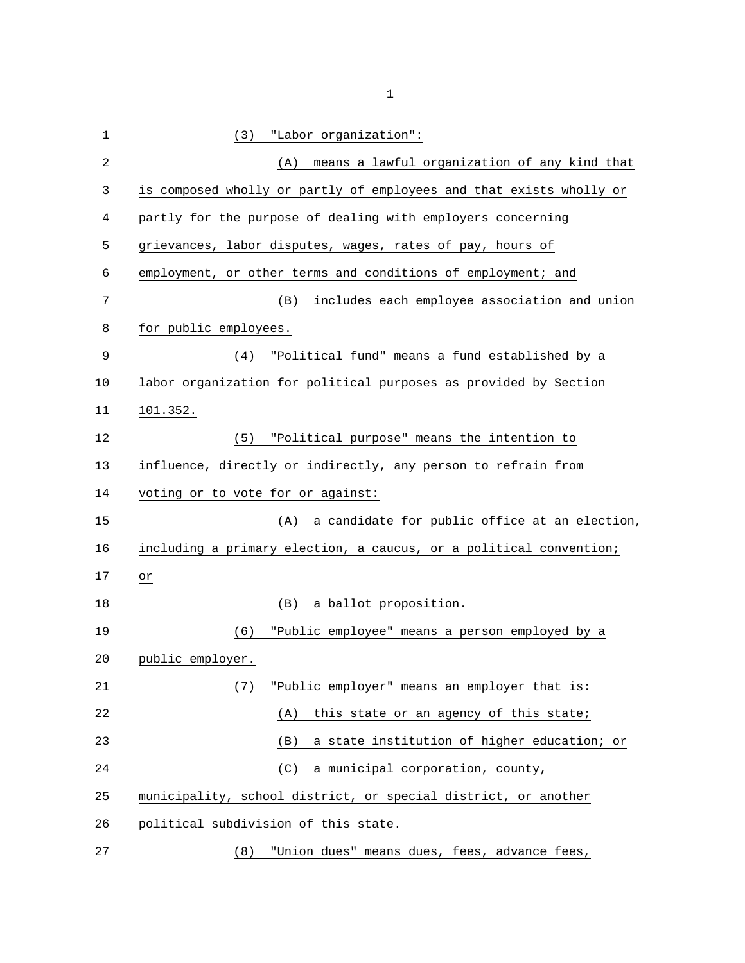| 1              | "Labor organization":<br>(3)                                        |
|----------------|---------------------------------------------------------------------|
| $\overline{c}$ | means a lawful organization of any kind that<br>(A)                 |
| 3              | is composed wholly or partly of employees and that exists wholly or |
| 4              | partly for the purpose of dealing with employers concerning         |
| 5              | grievances, labor disputes, wages, rates of pay, hours of           |
| 6              | employment, or other terms and conditions of employment; and        |
| 7              | includes each employee association and union<br>(B)                 |
| 8              | for public employees.                                               |
| 9              | "Political fund" means a fund established by a<br>(4)               |
| 10             | labor organization for political purposes as provided by Section    |
| 11             | 101.352.                                                            |
| 12             | "Political purpose" means the intention to<br>(5)                   |
| 13             | influence, directly or indirectly, any person to refrain from       |
| 14             | voting or to vote for or against:                                   |
| 15             | a candidate for public office at an election,<br>(A)                |
| 16             | including a primary election, a caucus, or a political convention;  |
| 17             | or                                                                  |
| 18             | a ballot proposition.<br>(B)                                        |
| 19             | "Public employee" means a person employed by a<br>(6)               |
| 20             | public employer.                                                    |
| 21             | "Public employer" means an employer that is:<br>(7)                 |
| 22             | this state or an agency of this state;<br>(A)                       |
| 23             | a state institution of higher education; or<br>(B)                  |
| 24             | a municipal corporation, county,<br>(C)                             |
| 25             | municipality, school district, or special district, or another      |
| 26             | political subdivision of this state.                                |
| 27             | "Union dues" means dues, fees, advance fees,<br>(8)                 |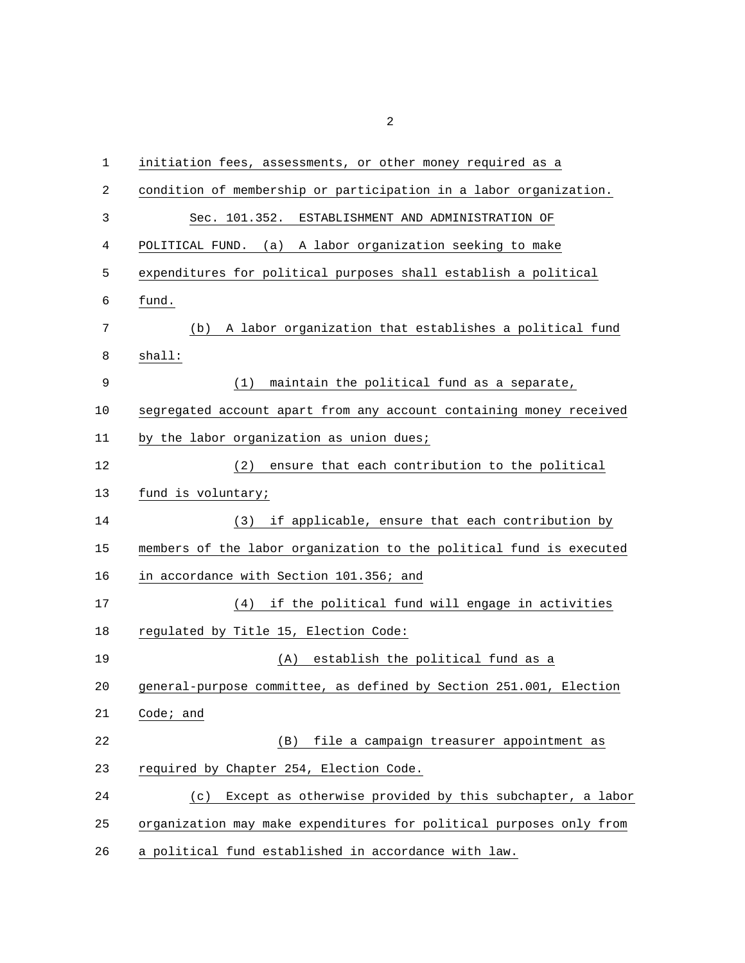| $\mathbf 1$ | initiation fees, assessments, or other money required as a          |
|-------------|---------------------------------------------------------------------|
| 2           | condition of membership or participation in a labor organization.   |
| 3           | Sec. 101.352. ESTABLISHMENT AND ADMINISTRATION OF                   |
| 4           | POLITICAL FUND. (a) A labor organization seeking to make            |
| 5           | expenditures for political purposes shall establish a political     |
| 6           | fund.                                                               |
| 7           | (b) A labor organization that establishes a political fund          |
| 8           | shall:                                                              |
| 9           | maintain the political fund as a separate,<br>(1)                   |
| 10          | segregated account apart from any account containing money received |
| 11          | by the labor organization as union dues;                            |
| 12          | ensure that each contribution to the political<br>(2)               |
| 13          | fund is voluntary;                                                  |
| 14          | (3) if applicable, ensure that each contribution by                 |
| 15          | members of the labor organization to the political fund is executed |
| 16          | in accordance with Section 101.356; and                             |
| 17          | if the political fund will engage in activities<br>(4)              |
| 18          | regulated by Title 15, Election Code:                               |
| 19          | (A) establish the political fund as a                               |
| 20          | general-purpose committee, as defined by Section 251.001, Election  |
| 21          | Code $i$ and                                                        |
| 22          | file a campaign treasurer appointment as<br>(B)                     |
| 23          | required by Chapter 254, Election Code.                             |
| 24          | Except as otherwise provided by this subchapter, a labor<br>(c)     |
| 25          | organization may make expenditures for political purposes only from |
| 26          | a political fund established in accordance with law.                |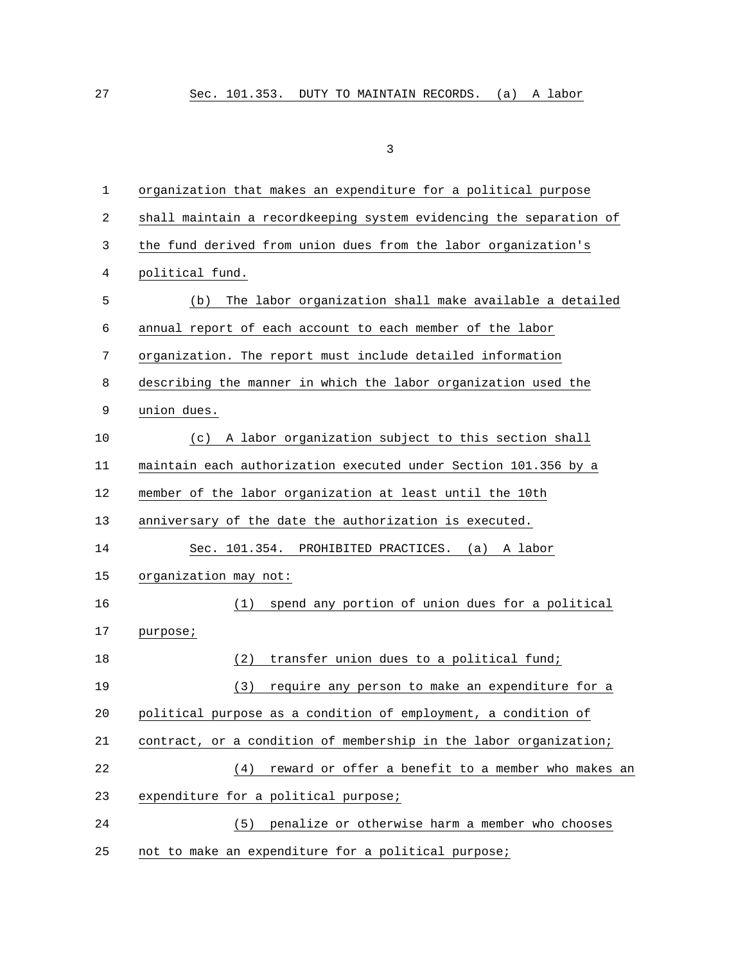| 1  | organization that makes an expenditure for a political purpose     |  |  |  |  |  |
|----|--------------------------------------------------------------------|--|--|--|--|--|
| 2  | shall maintain a recordkeeping system evidencing the separation of |  |  |  |  |  |
| 3  | the fund derived from union dues from the labor organization's     |  |  |  |  |  |
| 4  | political fund.                                                    |  |  |  |  |  |
| 5  | The labor organization shall make available a detailed<br>(b)      |  |  |  |  |  |
| 6  | annual report of each account to each member of the labor          |  |  |  |  |  |
| 7  | organization. The report must include detailed information         |  |  |  |  |  |
| 8  | describing the manner in which the labor organization used the     |  |  |  |  |  |
| 9  | union dues.                                                        |  |  |  |  |  |
| 10 | A labor organization subject to this section shall<br>(c)          |  |  |  |  |  |
| 11 | maintain each authorization executed under Section 101.356 by a    |  |  |  |  |  |
| 12 | member of the labor organization at least until the 10th           |  |  |  |  |  |
| 13 | anniversary of the date the authorization is executed.             |  |  |  |  |  |
| 14 | Sec. 101.354. PROHIBITED PRACTICES. (a) A labor                    |  |  |  |  |  |
| 15 | organization may not:                                              |  |  |  |  |  |
| 16 | spend any portion of union dues for a political<br>(1)             |  |  |  |  |  |
| 17 | purpose;                                                           |  |  |  |  |  |
| 18 | transfer union dues to a political fund;<br>(2)                    |  |  |  |  |  |
| 19 | (3)<br>require any person to make an expenditure for a             |  |  |  |  |  |
| 20 | political purpose as a condition of employment, a condition of     |  |  |  |  |  |
| 21 | contract, or a condition of membership in the labor organization;  |  |  |  |  |  |
| 22 | reward or offer a benefit to a member who makes an<br>(4)          |  |  |  |  |  |
| 23 | expenditure for a political purpose;                               |  |  |  |  |  |
| 24 | penalize or otherwise harm a member who chooses<br>(5)             |  |  |  |  |  |
| 25 | not to make an expenditure for a political purpose;                |  |  |  |  |  |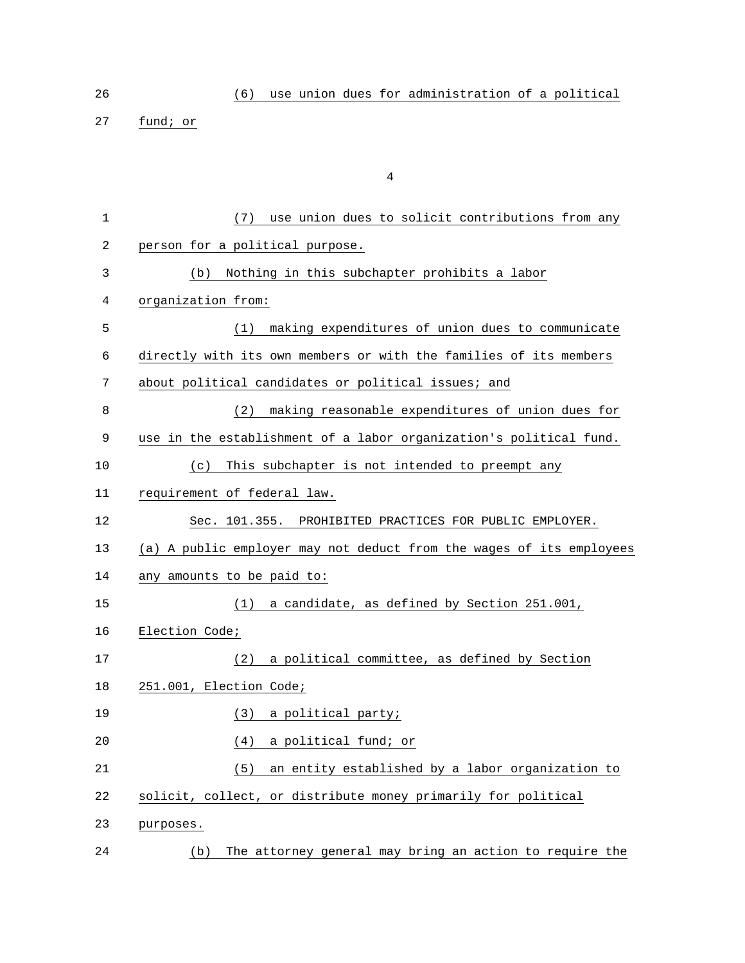26 (6) use union dues for administration of a political

27 fund; or

| 1                | (7) use union dues to solicit contributions from any                 |
|------------------|----------------------------------------------------------------------|
| $\boldsymbol{2}$ | person for a political purpose.                                      |
| 3                | Nothing in this subchapter prohibits a labor<br>(b)                  |
| 4                | organization from:                                                   |
| 5                | making expenditures of union dues to communicate<br>(1)              |
| 6                | directly with its own members or with the families of its members    |
| 7                | about political candidates or political issues; and                  |
| 8                | making reasonable expenditures of union dues for<br>(2)              |
| 9                | use in the establishment of a labor organization's political fund.   |
| 10               | This subchapter is not intended to preempt any<br>(c)                |
| 11               | requirement of federal law.                                          |
| 12               | Sec. 101.355. PROHIBITED PRACTICES FOR PUBLIC EMPLOYER.              |
| 13               | (a) A public employer may not deduct from the wages of its employees |
| 14               | any amounts to be paid to:                                           |
| 15               | a candidate, as defined by Section 251.001,<br>(1)                   |
| 16               | Election Code;                                                       |
| 17               | a political committee, as defined by Section<br>(2)                  |
| 18               | 251.001, Election Code;                                              |
| 19               | (3)<br>a political party;                                            |
| 20               | a political fund; or<br>(4)                                          |
| 21               | an entity established by a labor organization to<br>(5)              |
| 22               | solicit, collect, or distribute money primarily for political        |
| 23               | purposes.                                                            |
| 24               | The attorney general may bring an action to require the<br>(b)       |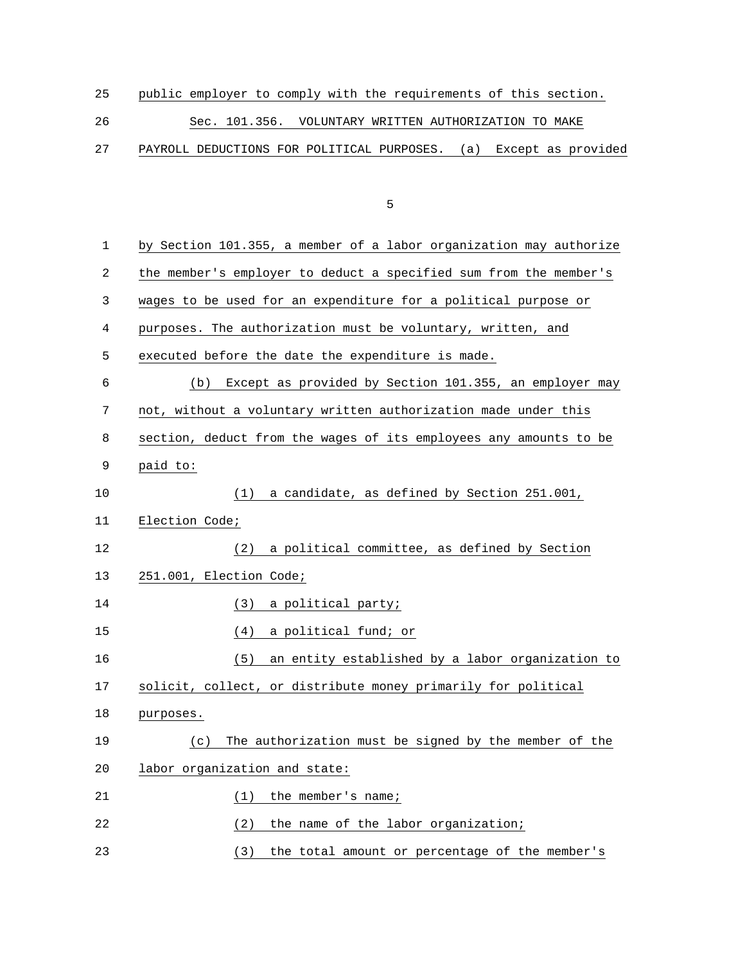|--|

26 Sec. 101.356. VOLUNTARY WRITTEN AUTHORIZATION TO MAKE

27 PAYROLL DEDUCTIONS FOR POLITICAL PURPOSES. (a) Except as provided

the contract of the contract of the contract of the contract of the contract of the contract of the contract o

| 1  | by Section 101.355, a member of a labor organization may authorize |
|----|--------------------------------------------------------------------|
| 2  | the member's employer to deduct a specified sum from the member's  |
| 3  | wages to be used for an expenditure for a political purpose or     |
| 4  | purposes. The authorization must be voluntary, written, and        |
| 5  | executed before the date the expenditure is made.                  |
| 6  | Except as provided by Section 101.355, an employer may<br>(b)      |
| 7  | not, without a voluntary written authorization made under this     |
| 8  | section, deduct from the wages of its employees any amounts to be  |
| 9  | paid to:                                                           |
| 10 | (1)<br>a candidate, as defined by Section 251.001,                 |
| 11 | Election Code;                                                     |
| 12 | a political committee, as defined by Section<br>(2)                |
| 13 | 251.001, Election Code;                                            |
| 14 | (3)<br>a political party;                                          |
| 15 | a political fund; or<br>(4)                                        |
| 16 | an entity established by a labor organization to<br>(5)            |
| 17 | solicit, collect, or distribute money primarily for political      |
| 18 | purposes.                                                          |
| 19 | The authorization must be signed by the member of the<br>(c)       |
| 20 | labor organization and state:                                      |
| 21 | the member's name;<br>(1)                                          |
| 22 | the name of the labor organization;<br>(2)                         |
| 23 | the total amount or percentage of the member's<br>(3)              |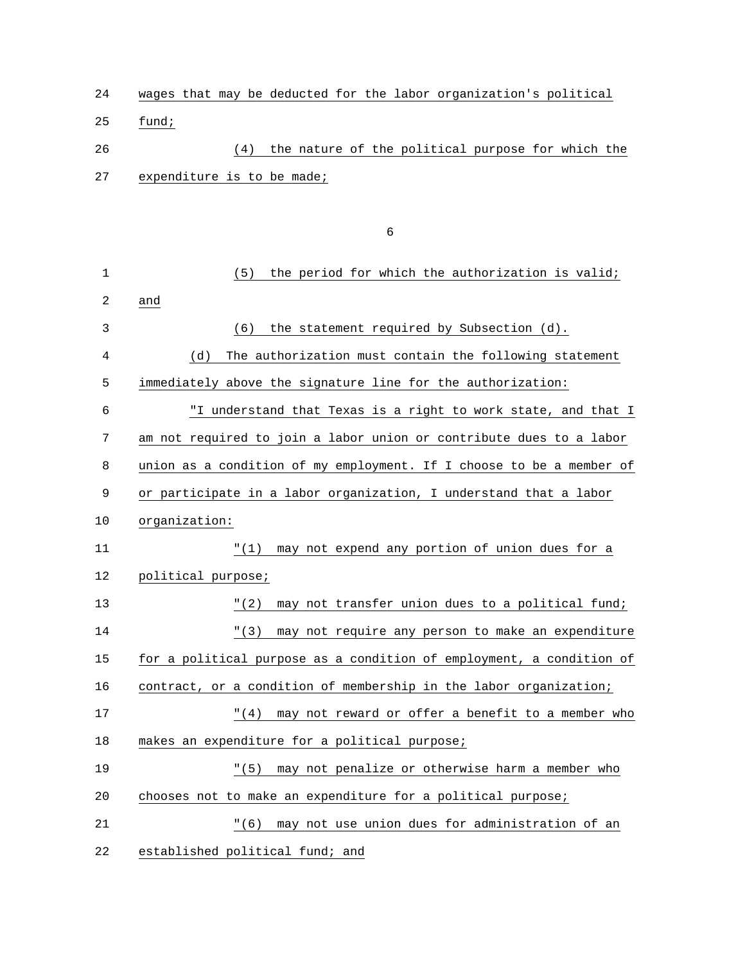| 24 |                            |  |     |  |  |  | wages that may be deducted for the labor organization's political |  |  |
|----|----------------------------|--|-----|--|--|--|-------------------------------------------------------------------|--|--|
| 25 | fund;                      |  |     |  |  |  |                                                                   |  |  |
| 26 |                            |  | (4) |  |  |  | the nature of the political purpose for which the                 |  |  |
| 27 | expenditure is to be made; |  |     |  |  |  |                                                                   |  |  |

 $\sim$  6

| $1\,$ | the period for which the authorization is valid;<br>(5)              |
|-------|----------------------------------------------------------------------|
| 2     | and                                                                  |
| 3     | the statement required by Subsection (d).<br>(6)                     |
| 4     | The authorization must contain the following statement<br>(d)        |
| 5     | immediately above the signature line for the authorization:          |
| 6     | "I understand that Texas is a right to work state, and that I        |
| 7     | am not required to join a labor union or contribute dues to a labor  |
| 8     | union as a condition of my employment. If I choose to be a member of |
| 9     | or participate in a labor organization, I understand that a labor    |
| 10    | organization:                                                        |
| 11    | "(1) may not expend any portion of union dues for a                  |
| 12    | political purpose;                                                   |
| 13    | "(2) may not transfer union dues to a political fund;                |
| 14    | may not require any person to make an expenditure<br>" (3)           |
| 15    | for a political purpose as a condition of employment, a condition of |
| 16    | contract, or a condition of membership in the labor organization;    |
| 17    | " (4)<br>may not reward or offer a benefit to a member who           |
| 18    | makes an expenditure for a political purpose;                        |
| 19    | "(5) may not penalize or otherwise harm a member who                 |
| 20    | chooses not to make an expenditure for a political purpose;          |
| 21    | "(6) may not use union dues for administration of an                 |
| 22    | established political fund; and                                      |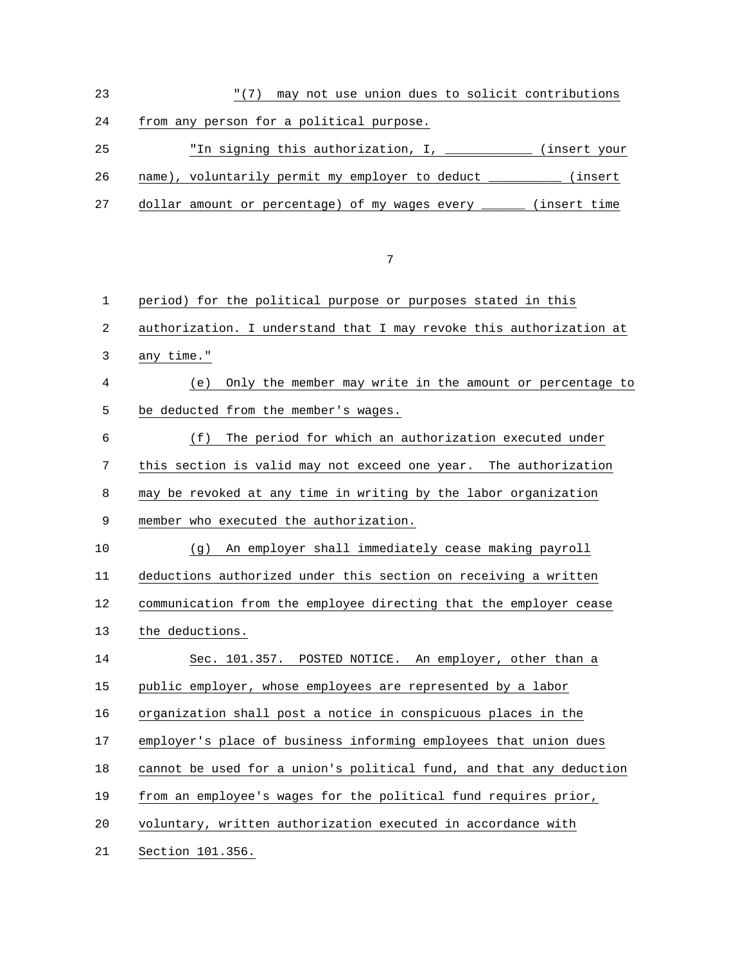23 "(7) may not use union dues to solicit contributions 24 from any person for a political purpose. 25 "In signing this authorization, I, \_\_\_\_\_\_\_\_\_\_\_\_ (insert your 26 name), voluntarily permit my employer to deduct \_\_\_\_\_\_\_\_\_\_ (insert 27 dollar amount or percentage) of my wages every \_\_\_\_\_\_ (insert time 7

| 1  | period) for the political purpose or purposes stated in this        |
|----|---------------------------------------------------------------------|
| 2  | authorization. I understand that I may revoke this authorization at |
| 3  | any time."                                                          |
| 4  | Only the member may write in the amount or percentage to<br>(e)     |
| 5  | be deducted from the member's wages.                                |
| 6  | (f)<br>The period for which an authorization executed under         |
| 7  | this section is valid may not exceed one year. The authorization    |
| 8  | may be revoked at any time in writing by the labor organization     |
| 9  | member who executed the authorization.                              |
| 10 | An employer shall immediately cease making payroll<br>(q)           |
| 11 | deductions authorized under this section on receiving a written     |
| 12 | communication from the employee directing that the employer cease   |
| 13 | the deductions.                                                     |
| 14 | Sec. 101.357. POSTED NOTICE. An employer, other than a              |
| 15 | public employer, whose employees are represented by a labor         |
| 16 | organization shall post a notice in conspicuous places in the       |
| 17 | employer's place of business informing employees that union dues    |
| 18 | cannot be used for a union's political fund, and that any deduction |
| 19 | from an employee's wages for the political fund requires prior,     |
| 20 | voluntary, written authorization executed in accordance with        |
| 21 | Section 101.356.                                                    |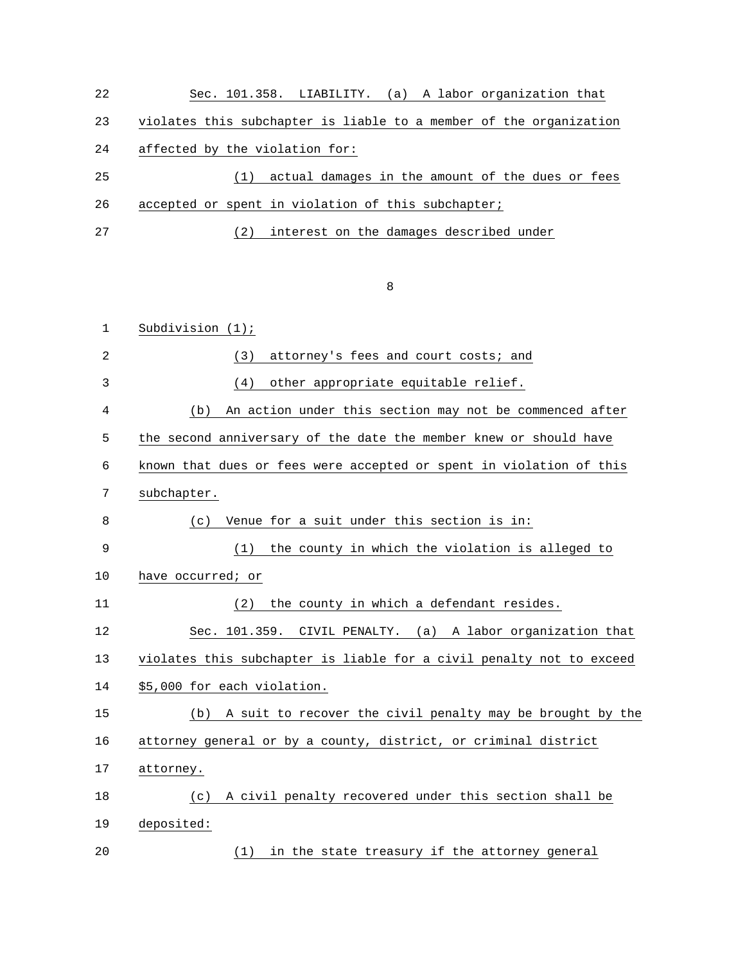| 22  | Sec. 101.358. LIABILITY. (a) A labor organization that             |
|-----|--------------------------------------------------------------------|
| 23  | violates this subchapter is liable to a member of the organization |
| 24  | affected by the violation for:                                     |
| 25  | actual damages in the amount of the dues or fees<br>(1)            |
| 26  | accepted or spent in violation of this subchapter;                 |
| 2.7 | interest on the damages described under<br>(2)                     |

8 and 20 and 20 and 20 and 20 and 20 and 20 and 20 and 20 and 20 and 20 and 20 and 20 and 20 and 20 and 20 and

| $\mathbf 1$    | Subdivision $(1)$ ;                                                  |
|----------------|----------------------------------------------------------------------|
| $\overline{2}$ | attorney's fees and court costs; and<br>(3)                          |
| 3              | other appropriate equitable relief.<br>(4)                           |
| 4              | An action under this section may not be commenced after<br>(b)       |
| 5              | the second anniversary of the date the member knew or should have    |
| 6              | known that dues or fees were accepted or spent in violation of this  |
| 7              | subchapter.                                                          |
| 8              | Venue for a suit under this section is in:<br>(c)                    |
| 9              | the county in which the violation is alleged to<br>(1)               |
| 10             | have occurred; or                                                    |
| 11             | the county in which a defendant resides.<br>(2)                      |
| 12             | Sec. 101.359. CIVIL PENALTY. (a) A labor organization that           |
| 13             | violates this subchapter is liable for a civil penalty not to exceed |
| 14             | \$5,000 for each violation.                                          |
| 15             | A suit to recover the civil penalty may be brought by the<br>(b)     |
| 16             | attorney general or by a county, district, or criminal district      |
| 17             | attorney.                                                            |
| 18             | A civil penalty recovered under this section shall be<br>(c)         |
| 19             | deposited:                                                           |
| 20             | in the state treasury if the attorney general<br>(1)                 |